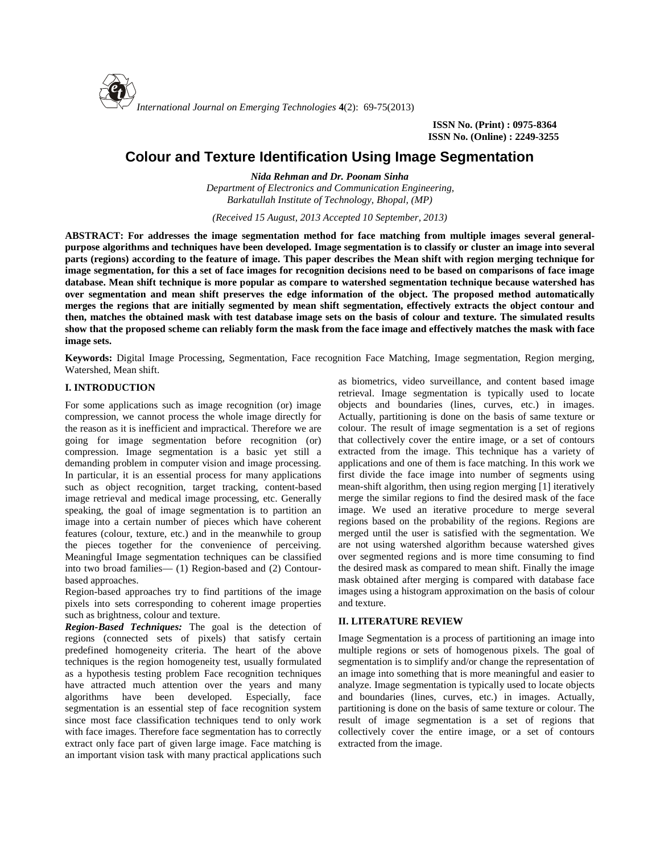

**ISSN No. (Print) : 0975-8364 ISSN No. (Online) : 2249-3255**

# **Colour and Texture Identification Using Image Segmentation**

*Nida Rehman and Dr. Poonam Sinha Department of Electronics and Communication Engineering, Barkatullah Institute of Technology, Bhopal, (MP)*

*(Received 15 August, 2013 Accepted 10 September, 2013)*

**ABSTRACT: For addresses the image segmentation method for face matching from multiple images several general purpose algorithms and techniques have been developed. Image segmentation is to classify or cluster an image into several parts (regions) according to the feature of image. This paper describes the Mean shift with region merging technique for image segmentation, for this a set of face images for recognition decisions need to be based on comparisons of face image database. Mean shift technique is more popular as compare to watershed segmentation technique because watershed has over segmentation and mean shift preserves the edge information of the object. The proposed method automatically merges the regions that are initially segmented by mean shift segmentation, effectively extracts the object contour and then, matches the obtained mask with test database image sets on the basis of colour and texture. The simulated results show that the proposed scheme can reliably form the mask from the face image and effectively matches the mask with face image sets.**

**Keywords:** Digital Image Processing, Segmentation, Face recognition Face Matching, Image segmentation, Region merging, Watershed, Mean shift.

## **I. INTRODUCTION**

For some applications such as image recognition (or) image compression, we cannot process the whole image directly for the reason as it is inefficient and impractical. Therefore we are going for image segmentation before recognition (or) compression. Image segmentation is a basic yet still a demanding problem in computer vision and image processing. In particular, it is an essential process for many applications such as object recognition, target tracking, content-based image retrieval and medical image processing, etc. Generally speaking, the goal of image segmentation is to partition an image into a certain number of pieces which have coherent features (colour, texture, etc.) and in the meanwhile to group the pieces together for the convenience of perceiving. Meaningful Image segmentation techniques can be classified into two broad families— (1) Region-based and (2) Contour based approaches.

Region-based approaches try to find partitions of the image pixels into sets corresponding to coherent image properties such as brightness, colour and texture.

*Region-Based Techniques:* The goal is the detection of regions (connected sets of pixels) that satisfy certain predefined homogeneity criteria. The heart of the above techniques is the region homogeneity test, usually formulated as a hypothesis testing problem Face recognition techniques have attracted much attention over the years and many algorithms have been developed. Especially, face segmentation is an essential step of face recognition system since most face classification techniques tend to only work with face images. Therefore face segmentation has to correctly extract only face part of given large image. Face matching is an important vision task with many practical applications such

as biometrics, video surveillance, and content based image retrieval. Image segmentation is typically used to locate objects and boundaries (lines, curves, etc.) in images. Actually, partitioning is done on the basis of same texture or colour. The result of image segmentation is a set of regions that collectively cover the entire image, or a set of contours extracted from the image. This technique has a variety of applications and one of them is face matching. In this work we first divide the face image into number of segments using mean-shift algorithm, then using region merging [1] iteratively merge the similar regions to find the desired mask of the face image. We used an iterative procedure to merge several regions based on the probability of the regions. Regions are merged until the user is satisfied with the segmentation. We are not using watershed algorithm because watershed gives over segmented regions and is more time consuming to find the desired mask as compared to mean shift. Finally the image mask obtained after merging is compared with database face images using a histogram approximation on the basis of colour and texture.

## **II. LITERATURE REVIEW**

Image Segmentation is a process of partitioning an image into multiple regions or sets of homogenous pixels. The goal of segmentation is to simplify and/or change the representation of an image into something that is more meaningful and easier to analyze. Image segmentation is typically used to locate objects and boundaries (lines, curves, etc.) in images. Actually, partitioning is done on the basis of same texture or colour. The result of image segmentation is a set of regions that collectively cover the entire image, or a set of contours extracted from the image.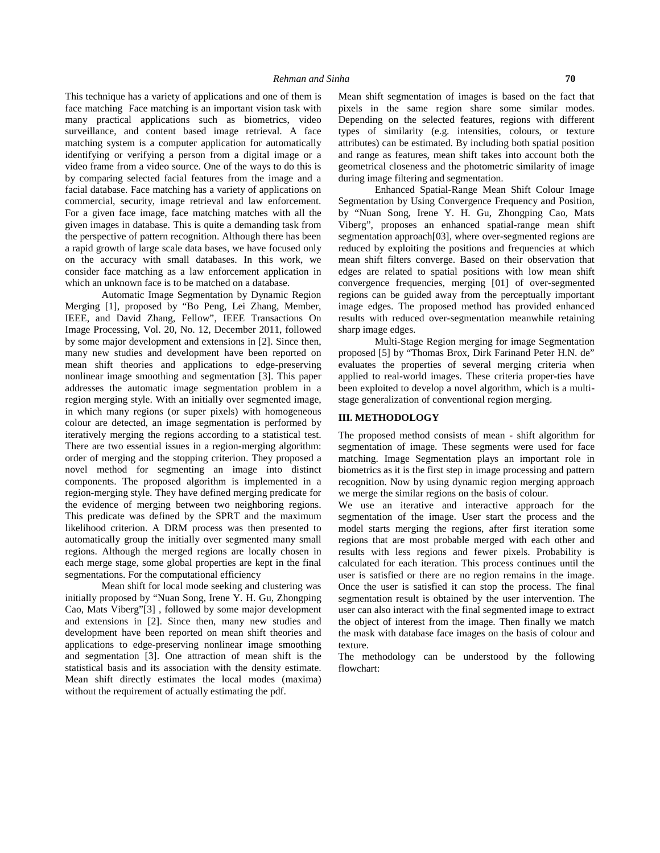This technique has a variety of applications and one of them is face matching Face matching is an important vision task with many practical applications such as biometrics, video surveillance, and content based image retrieval. A face matching system is a computer application for automatically identifying or verifying a person from a digital image or a video frame from a video source. One of the ways to do this is by comparing selected facial features from the image and a facial database. Face matching has a variety of applications on commercial, security, image retrieval and law enforcement. For a given face image, face matching matches with all the given images in database. This is quite a demanding task from the perspective of pattern recognition. Although there has been a rapid growth of large scale data bases, we have focused only on the accuracy with small databases. In this work, we consider face matching as a law enforcement application in which an unknown face is to be matched on a database.

Automatic Image Segmentation by Dynamic Region Merging [1], proposed by "Bo Peng, Lei Zhang, Member, IEEE, and David Zhang, Fellow", IEEE Transactions On Image Processing, Vol. 20, No. 12, December 2011, followed by some major development and extensions in [2]. Since then, many new studies and development have been reported on mean shift theories and applications to edge-preserving nonlinear image smoothing and segmentation [3]. This paper addresses the automatic image segmentation problem in a region merging style. With an initially over segmented image, in which many regions (or super pixels) with homogeneous colour are detected, an image segmentation is performed by iteratively merging the regions according to a statistical test. There are two essential issues in a region-merging algorithm: order of merging and the stopping criterion. They proposed a novel method for segmenting an image into distinct components. The proposed algorithm is implemented in a region-merging style. They have defined merging predicate for the evidence of merging between two neighboring regions. This predicate was defined by the SPRT and the maximum likelihood criterion. A DRM process was then presented to automatically group the initially over segmented many small regions. Although the merged regions are locally chosen in each merge stage, some global properties are kept in the final segmentations. For the computational efficiency

Mean shift for local mode seeking and clustering was initially proposed by "Nuan Song, Irene Y. H. Gu, Zhongping Cao, Mats Viberg"[3] , followed by some major development and extensions in [2]. Since then, many new studies and development have been reported on mean shift theories and applications to edge-preserving nonlinear image smoothing and segmentation [3]. One attraction of mean shift is the statistical basis and its association with the density estimate. Mean shift directly estimates the local modes (maxima) without the requirement of actually estimating the pdf.

Depending on the selected features, regions with different types of similarity (e.g. intensities, colours, or texture attributes) can be estimated. By including both spatial position and range as features, mean shift takes into account both the geometrical closeness and the photometric similarity of image during image filtering and segmentation. Enhanced Spatial-Range Mean Shift Colour Image

Segmentation by Using Convergence Frequency and Position, by "Nuan Song, Irene Y. H. Gu, Zhongping Cao, Mats Viberg", proposes an enhanced spatial-range mean shift segmentation approach[03], where over-segmented regions are reduced by exploiting the positions and frequencies at which mean shift filters converge. Based on their observation that edges are related to spatial positions with low mean shift convergence frequencies, merging [01] of over-segmented regions can be guided away from the perceptually important image edges. The proposed method has provided enhanced results with reduced over-segmentation meanwhile retaining sharp image edges.

Multi-Stage Region merging for image Segmentation proposed [5] by "Thomas Brox, Dirk Farinand Peter H.N. de" evaluates the properties of several merging criteria when applied to real-world images. These criteria proper-ties have been exploited to develop a novel algorithm, which is a multi stage generalization of conventional region merging.

#### **III. METHODOLOGY**

The proposed method consists of mean - shift algorithm for segmentation of image. These segments were used for face matching. Image Segmentation plays an important role in biometrics as it is the first step in image processing and pattern recognition. Now by using dynamic region merging approach we merge the similar regions on the basis of colour.

We use an iterative and interactive approach for the segmentation of the image. User start the process and the model starts merging the regions, after first iteration some regions that are most probable merged with each other and results with less regions and fewer pixels. Probability is calculated for each iteration. This process continues until the user is satisfied or there are no region remains in the image. Once the user is satisfied it can stop the process. The final segmentation result is obtained by the user intervention. The user can also interact with the final segmented image to extract the object of interest from the image. Then finally we match the mask with database face images on the basis of colour and texture.

The methodology can be understood by the following flowchart: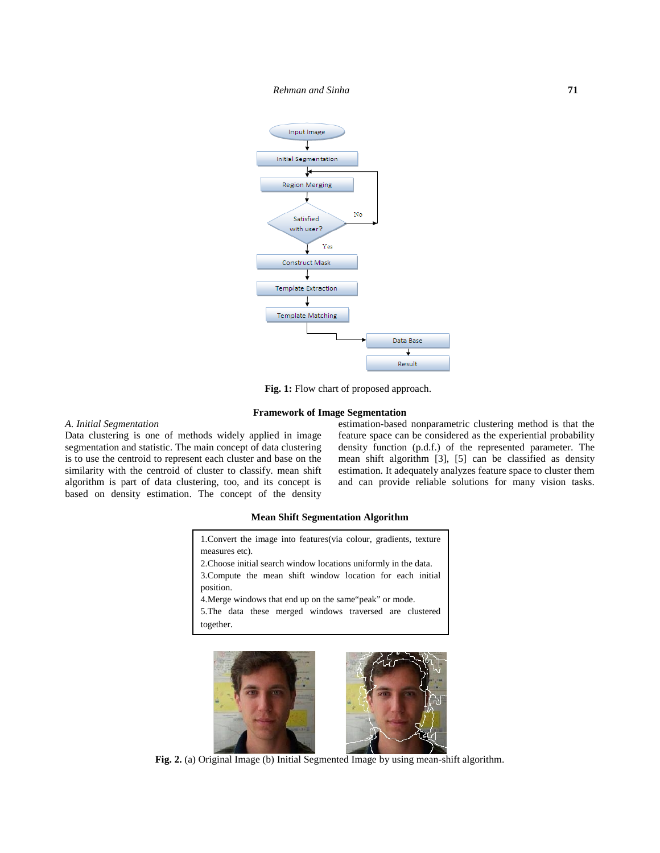

**Fig. 1:** Flow chart of proposed approach.

### **Framework of Image Segmentation**

## *A. Initial Segmentation*

Data clustering is one of methods widely applied in image segmentation and statistic. The main concept of data clustering is to use the centroid to represent each cluster and base on the similarity with the centroid of cluster to classify. mean shift algorithm is part of data clustering, too, and its concept is based on density estimation. The concept of the density

estimation-based nonparametric clustering method is that the feature space can be considered as the experiential probability density function (p.d.f.) of the represented parameter. The mean shift algorithm [3], [5] can be classified as density estimation. It adequately analyzes feature space to cluster them and can provide reliable solutions for many vision tasks.

#### **Mean Shift Segmentation Algorithm**





**Fig. 2.** (a) Original Image (b) Initial Segmented Image by using mean-shift algorithm.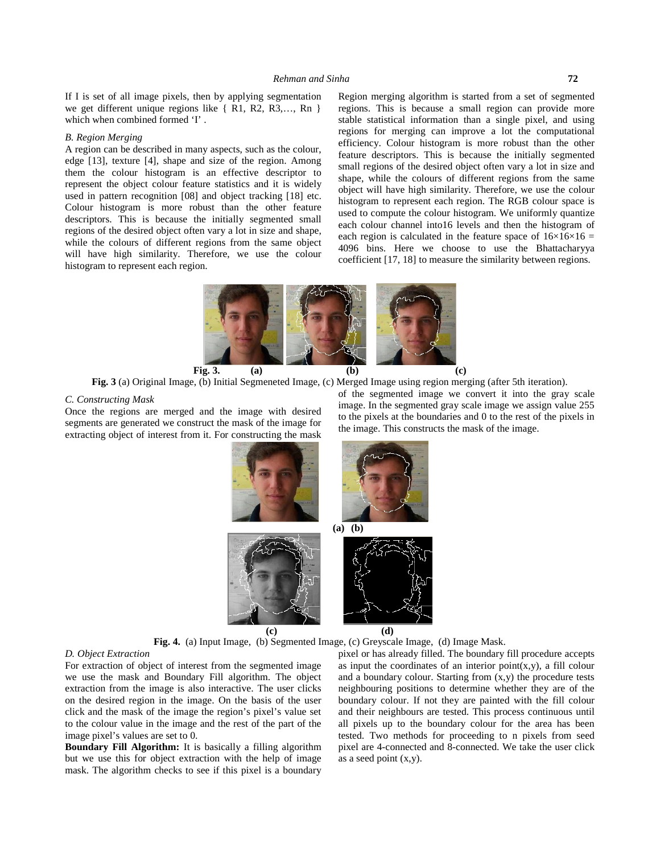If I is set of all image pixels, then by applying segmentation we get different unique regions like { R1, R2, R3,…, Rn } which when combined formed 'I' .

#### *B. Region Merging*

A region can be described in many aspects, such as the colour, edge [13], texture [4], shape and size of the region. Among them the colour histogram is an effective descriptor to represent the object colour feature statistics and it is widely used in pattern recognition [08] and object tracking [18] etc. Colour histogram is more robust than the other feature descriptors. This is because the initially segmented small regions of the desired object often vary a lot in size and shape, while the colours of different regions from the same object will have high similarity. Therefore, we use the colour histogram to represent each region.

Region merging algorithm is started from a set of segmented regions. This is because a small region can provide more stable statistical information than a single pixel, and using regions for merging can improve a lot the computational efficiency. Colour histogram is more robust than the other feature descriptors. This is because the initially segmented small regions of the desired object often vary a lot in size and shape, while the colours of different regions from the same object will have high similarity. Therefore, we use the colour histogram to represent each region. The RGB colour space is used to compute the colour histogram. We uniformly quantize each colour channel into16 levels and then the histogram of each region is calculated in the feature space of  $16\times16\times16 =$ 4096 bins. Here we choose to use the Bhattacharyya coefficient [17, 18] to measure the similarity between regions.

**Fig. 3. (a) (b) (c)**

**Fig. 3** (a) Original Image, (b) Initial Segmeneted Image, (c) Merged Image using region merging (after 5th iteration).

#### *C. Constructing Mask*

Once the regions are merged and the image with desired segments are generated we construct the mask of the image for extracting object of interest from it. For constructing the mask

of the segmented image we convert it into the gray scale image. In the segmented gray scale image we assign value 255 to the pixels at the boundaries and 0 to the rest of the pixels in the image. This constructs the mask of the image.



**Fig. 4.** (a) Input Image, (b) Segmented Image, (c) Greyscale Image, (d) Image Mask.

#### *D. Object Extraction*

For extraction of object of interest from the segmented image we use the mask and Boundary Fill algorithm. The object extraction from the image is also interactive. The user clicks on the desired region in the image. On the basis of the user click and the mask of the image the region's pixel's value set to the colour value in the image and the rest of the part of the image pixel's values are set to 0.

**Boundary Fill Algorithm:** It is basically a filling algorithm but we use this for object extraction with the help of image mask. The algorithm checks to see if this pixel is a boundary

pixel or has already filled. The boundary fill procedure accepts as input the coordinates of an interior point $(x,y)$ , a fill colour and a boundary colour. Starting from  $(x,y)$  the procedure tests neighbouring positions to determine whether they are of the boundary colour. If not they are painted with the fill colour and their neighbours are tested. This process continuous until all pixels up to the boundary colour for the area has been tested. Two methods for proceeding to n pixels from seed pixel are 4-connected and 8-connected. We take the user click as a seed point (x,y).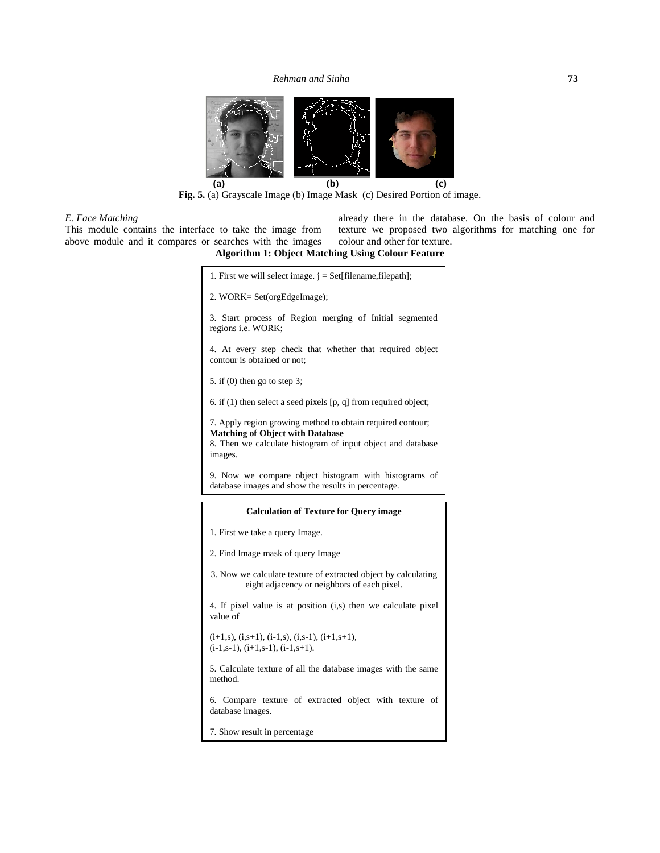

**Fig. 5.** (a) Grayscale Image (b) Image Mask (c) Desired Portion of image.

## *E. Face Matching*

This module contains the interface to take the image from above module and it compares or searches with the images already there in the database. On the basis of colour and texture we proposed two algorithms for matching one for colour and other for texture.

## **Algorithm 1: Object Matching Using Colour Feature**

| 1. First we will select image. $j = Set[filename, filepath];$                                                                                                                   |  |
|---------------------------------------------------------------------------------------------------------------------------------------------------------------------------------|--|
| 2. WORK= Set(orgEdgeImage);                                                                                                                                                     |  |
| 3. Start process of Region merging of Initial segmented<br>regions <i>i.e.</i> WORK;                                                                                            |  |
| 4. At every step check that whether that required object<br>contour is obtained or not;                                                                                         |  |
| 5. if $(0)$ then go to step 3;                                                                                                                                                  |  |
| 6. if $(1)$ then select a seed pixels $[p, q]$ from required object;                                                                                                            |  |
| 7. Apply region growing method to obtain required contour;<br><b>Matching of Object with Database</b><br>8. Then we calculate histogram of input object and database<br>images. |  |
| 9. Now we compare object histogram with histograms of<br>database images and show the results in percentage.                                                                    |  |
|                                                                                                                                                                                 |  |
| <b>Calculation of Texture for Query image</b>                                                                                                                                   |  |
| 1. First we take a query Image.                                                                                                                                                 |  |
| 2. Find Image mask of query Image                                                                                                                                               |  |
| 3. Now we calculate texture of extracted object by calculating<br>eight adjacency or neighbors of each pixel.                                                                   |  |
| 4. If pixel value is at position (i,s) then we calculate pixel<br>value of                                                                                                      |  |
| $(i+1,s)$ , $(i,s+1)$ , $(i-1,s)$ , $(i,s-1)$ , $(i+1,s+1)$ ,<br>$(i-1,s-1), (i+1,s-1), (i-1,s+1).$                                                                             |  |
| 5. Calculate texture of all the database images with the same<br>method.                                                                                                        |  |
| 6. Compare texture of extracted object with texture of<br>database images.                                                                                                      |  |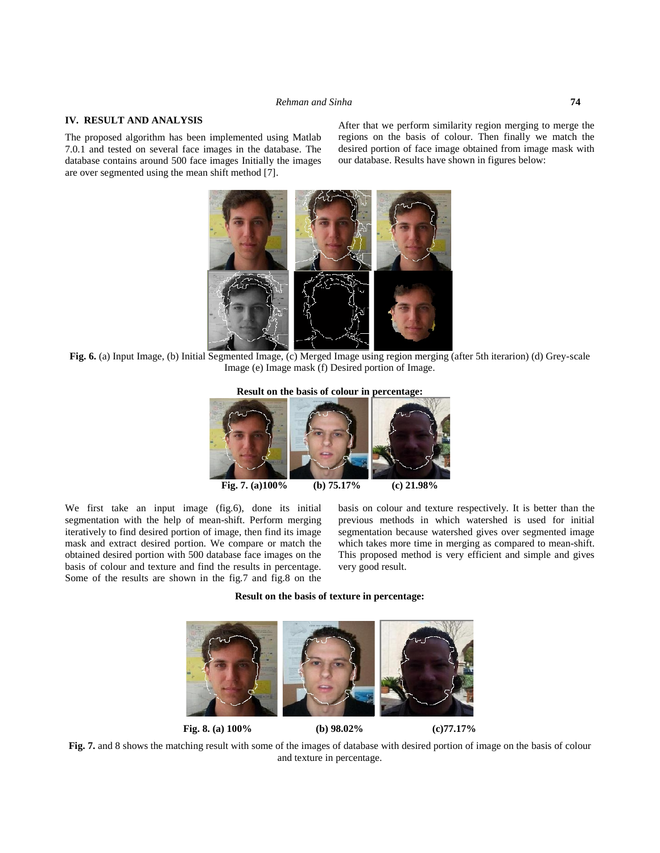## **IV. RESULT AND ANALYSIS**

The proposed algorithm has been implemented using Matlab 7.0.1 and tested on several face images in the database. The database contains around 500 face images Initially the images are over segmented using the mean shift method [7].

After that we perform similarity region merging to merge the regions on the basis of colour. Then finally we match the desired portion of face image obtained from image mask with our database. Results have shown in figures below:



**Fig. 6.** (a) Input Image, (b) Initial Segmented Image, (c) Merged Image using region merging (after 5th iterarion) (d) Grey-scale Image (e) Image mask (f) Desired portion of Image.

**Result on the basis of colour in percentage:**



We first take an input image (fig.6), done its initial segmentation with the help of mean-shift. Perform merging iteratively to find desired portion of image, then find its image mask and extract desired portion. We compare or match the obtained desired portion with 500 database face images on the basis of colour and texture and find the results in percentage. Some of the results are shown in the fig.7 and fig.8 on the basis on colour and texture respectively. It is better than the previous methods in which watershed is used for initial segmentation because watershed gives over segmented image which takes more time in merging as compared to mean-shift. This proposed method is very efficient and simple and gives very good result.

**Result on the basis of texture in percentage:**



**Fig. 7.** and 8 shows the matching result with some of the images of database with desired portion of image on the basis of colour and texture in percentage.